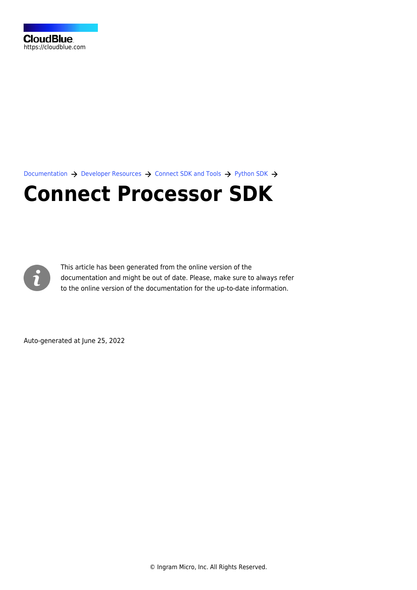[Documentation](https://connect.cloudblue.com/documentation)  $\rightarrow$  [Developer Resources](https://connect.cloudblue.com/community/developers/)  $\rightarrow$  [Connect SDK and Tools](https://connect.cloudblue.com/community/developers/sdk/)  $\rightarrow$  [Python SDK](https://connect.cloudblue.com/community/developers/sdk/python-sdk/)  $\rightarrow$ 

# **[Connect Processor SDK](https://connect.cloudblue.com/community/developers/sdk/python-sdk/connect-processor-sdk/)**



This article has been generated from the online version of the documentation and might be out of date. Please, make sure to always refer to the online version of the documentation for the up-to-date information.

Auto-generated at June 25, 2022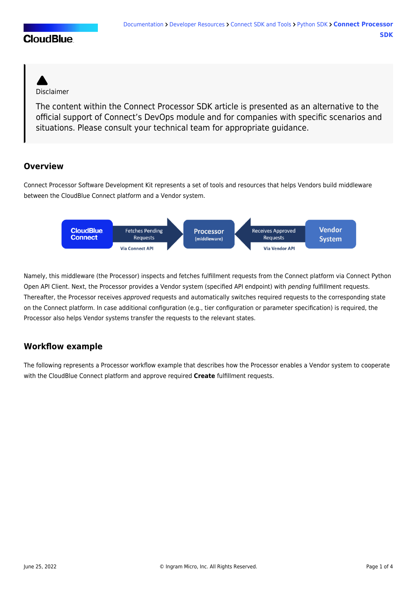## **CloudBlue**



The content within the Connect Processor SDK article is presented as an alternative to the official support of Connect's [DevOps module](https://connect.cloudblue.com/community/modules/devops/) and for companies with specific scenarios and situations. Please consult your technical team for appropriate guidance.

#### **Overview**

Connect Processor Software Development Kit represents a set of tools and resources that helps Vendors build middleware between the CloudBlue Connect platform and a Vendor system.



Namely, this middleware (the Processor) inspects and fetches [fulfillment requests](https://connect.cloudblue.com/community/modules/subscriptions/fulfillment-requests/) from the Connect platform via [Connect Python](#page--1-0) [Open API Client](#page--1-0). Next, the Processor provides a Vendor system (specified API endpoint) with pending fulfillment requests. Thereafter, the Processor receives approved requests and automatically switches required requests to the corresponding state on the Connect platform. In case additional configuration (e.g., tier configuration or parameter specification) is required, the Processor also helps Vendor systems transfer the requests to the relevant states.

### **Workflow example**

The following represents a Processor workflow example that describes how the Processor enables a Vendor system to cooperate with the CloudBlue Connect platform and approve required **Create** fulfillment requests.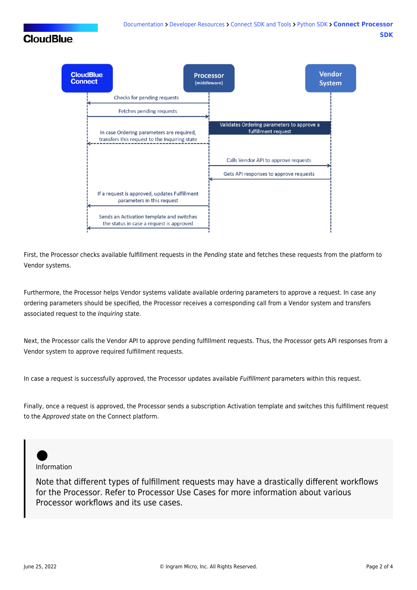# **CloudBlue**



First, the Processor checks available fulfillment requests in the Pending state and fetches these requests from the platform to Vendor systems.

Furthermore, the Processor helps Vendor systems validate available ordering parameters to approve a request. In case any ordering parameters should be specified, the Processor receives a corresponding call from a Vendor system and transfers associated request to the Inquiring state.

Next, the Processor calls the Vendor API to approve pending fulfillment requests. Thus, the Processor gets API responses from a Vendor system to approve required fulfillment requests.

In case a request is successfully approved, the Processor updates available Fulfillment parameters within this request.

Finally, once a request is approved, the Processor sends a subscription [Activation](https://connect.cloudblue.com/community/modules/products/embedding/#Templates) template and switches this fulfillment request to the Approved state on the Connect platform.

Information

Note that different types of fulfillment requests may have a drastically different workflows for the Processor. Refer to [Processor Use Cases](https://connect.cloudblue.com/community/sdk/) for more information about various Processor workflows and its use cases.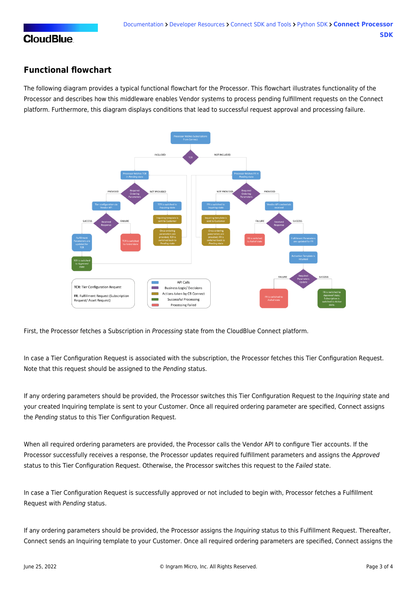#### **Functional flowchart**

The following diagram provides a typical functional flowchart for the Processor. This flowchart illustrates functionality of the Processor and describes how this middleware enables Vendor systems to process pending fulfillment requests on the Connect platform. Furthermore, this diagram displays conditions that lead to successful request approval and processing failure.



First, the Processor fetches a Subscription in Processing state from the CloudBlue Connect platform.

In case a Tier Configuration Request is associated with the subscription, the Processor fetches this Tier Configuration Request. Note that this request should be assigned to the Pending status.

If any ordering parameters should be provided, the Processor switches this Tier Configuration Request to the Inquiring state and your created Inquiring template is sent to your Customer. Once all required ordering parameter are specified, Connect assigns the Pending status to this Tier Configuration Request.

When all required ordering parameters are provided, the Processor calls the Vendor API to configure Tier accounts. If the Processor successfully receives a response, the Processor updates required fulfillment parameters and assigns the Approved status to this Tier Configuration Request. Otherwise, the Processor switches this request to the Failed state.

In case a Tier Configuration Request is successfully approved or not included to begin with, Processor fetches a Fulfillment Request with Pending status.

If any ordering parameters should be provided, the Processor assigns the *Inquiring* status to this Fulfillment Request. Thereafter, Connect sends an Inquiring template to your Customer. Once all required ordering parameters are specified, Connect assigns the